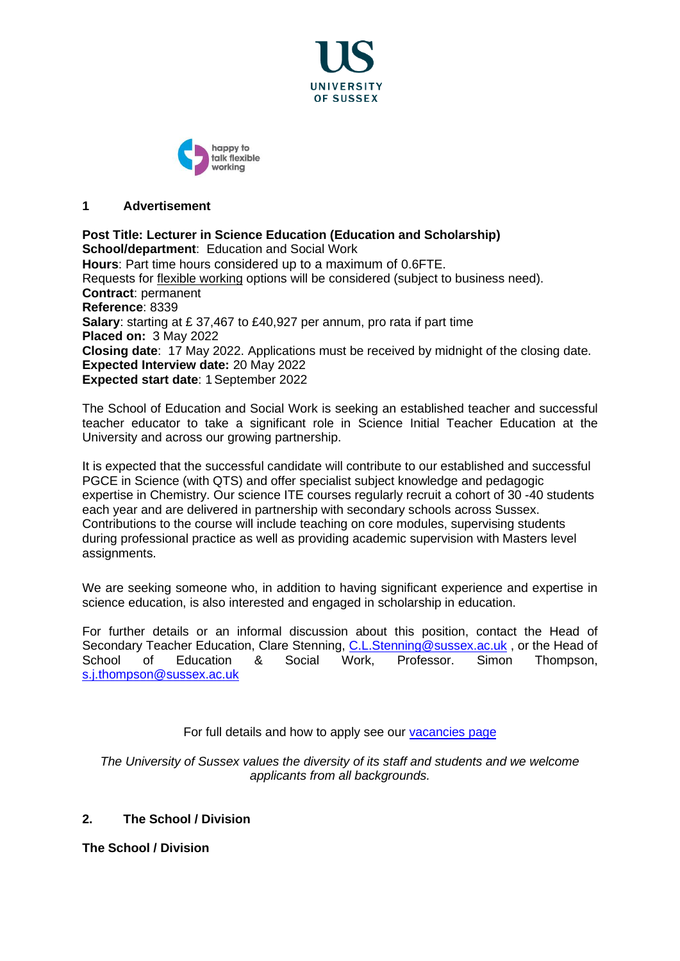



### **1 Advertisement**

**Post Title: Lecturer in Science Education (Education and Scholarship) School/department**: Education and Social Work **Hours**: Part time hours considered up to a maximum of 0.6FTE. Requests for [flexible working](http://www.sussex.ac.uk/humanresources/personnel/flexible-working) options will be considered (subject to business need). **Contract**: permanent **Reference**: 8339 **Salary**: starting at £ 37,467 to £40,927 per annum, pro rata if part time **Placed on:** 3 May 2022 **Closing date**: 17 May 2022. Applications must be received by midnight of the closing date. **Expected Interview date:** 20 May 2022 **Expected start date**: 1September 2022

The School of Education and Social Work is seeking an established teacher and successful teacher educator to take a significant role in Science Initial Teacher Education at the University and across our growing partnership.

It is expected that the successful candidate will contribute to our established and successful PGCE in Science (with QTS) and offer specialist subject knowledge and pedagogic expertise in Chemistry. Our science ITE courses regularly recruit a cohort of 30 -40 students each year and are delivered in partnership with secondary schools across Sussex. Contributions to the course will include teaching on core modules, supervising students during professional practice as well as providing academic supervision with Masters level assignments.

We are seeking someone who, in addition to having significant experience and expertise in science education, is also interested and engaged in scholarship in education.

For further details or an informal discussion about this position, contact the Head of Secondary Teacher Education, Clare Stenning, [C.L.Stenning@sussex.ac.uk](mailto:C.L.Stenning@sussex.ac.uk), or the Head of School of Education & Social Work, Professor. Simon Thompson, [s.j.thompson@sussex.ac.uk](mailto:c.m.mclaughlin@sussex.ac.uk)

For full details and how to apply see our [vacancies page](http://www.sussex.ac.uk/about/jobs)

*The University of Sussex values the diversity of its staff and students and we welcome applicants from all backgrounds.*

# **2. The School / Division**

**The School / Division**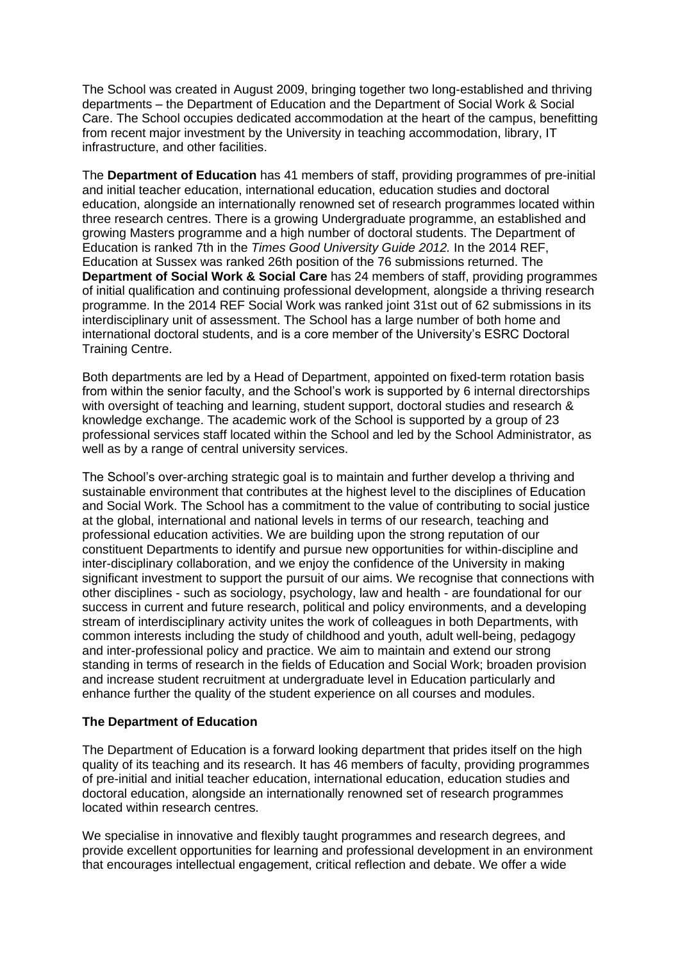The School was created in August 2009, bringing together two long-established and thriving departments – the Department of Education and the Department of Social Work & Social Care. The School occupies dedicated accommodation at the heart of the campus, benefitting from recent major investment by the University in teaching accommodation, library, IT infrastructure, and other facilities.

The **Department of Education** has 41 members of staff, providing programmes of pre-initial and initial teacher education, international education, education studies and doctoral education, alongside an internationally renowned set of research programmes located within three research centres. There is a growing Undergraduate programme, an established and growing Masters programme and a high number of doctoral students. The Department of Education is ranked 7th in the *Times Good University Guide 2012.* In the 2014 REF, Education at Sussex was ranked 26th position of the 76 submissions returned. The **Department of Social Work & Social Care** has 24 members of staff, providing programmes of initial qualification and continuing professional development, alongside a thriving research programme. In the 2014 REF Social Work was ranked joint 31st out of 62 submissions in its interdisciplinary unit of assessment. The School has a large number of both home and international doctoral students, and is a core member of the University's ESRC Doctoral Training Centre.

Both departments are led by a Head of Department, appointed on fixed-term rotation basis from within the senior faculty, and the School's work is supported by 6 internal directorships with oversight of teaching and learning, student support, doctoral studies and research & knowledge exchange. The academic work of the School is supported by a group of 23 professional services staff located within the School and led by the School Administrator, as well as by a range of central university services.

The School's over-arching strategic goal is to maintain and further develop a thriving and sustainable environment that contributes at the highest level to the disciplines of Education and Social Work. The School has a commitment to the value of contributing to social justice at the global, international and national levels in terms of our research, teaching and professional education activities. We are building upon the strong reputation of our constituent Departments to identify and pursue new opportunities for within-discipline and inter-disciplinary collaboration, and we enjoy the confidence of the University in making significant investment to support the pursuit of our aims. We recognise that connections with other disciplines - such as sociology, psychology, law and health - are foundational for our success in current and future research, political and policy environments, and a developing stream of interdisciplinary activity unites the work of colleagues in both Departments, with common interests including the study of childhood and youth, adult well-being, pedagogy and inter-professional policy and practice. We aim to maintain and extend our strong standing in terms of research in the fields of Education and Social Work; broaden provision and increase student recruitment at undergraduate level in Education particularly and enhance further the quality of the student experience on all courses and modules.

# **The Department of Education**

The Department of Education is a forward looking department that prides itself on the high quality of its teaching and its research. It has 46 members of faculty, providing programmes of pre-initial and initial teacher education, international education, education studies and doctoral education, alongside an internationally renowned set of research programmes located within research centres.

We specialise in innovative and flexibly taught programmes and research degrees, and provide excellent opportunities for learning and professional development in an environment that encourages intellectual engagement, critical reflection and debate. We offer a wide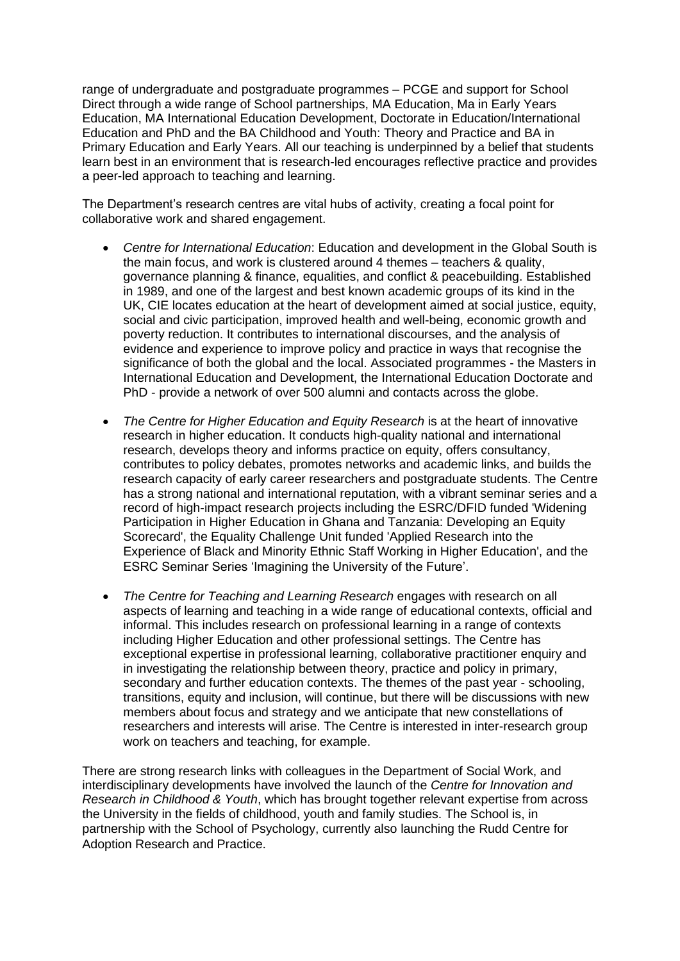range of undergraduate and postgraduate programmes – PCGE and support for School Direct through a wide range of School partnerships, MA Education, Ma in Early Years Education, MA International Education Development, Doctorate in Education/International Education and PhD and the BA Childhood and Youth: Theory and Practice and BA in Primary Education and Early Years. All our teaching is underpinned by a belief that students learn best in an environment that is research-led encourages reflective practice and provides a peer-led approach to teaching and learning.

The Department's research centres are vital hubs of activity, creating a focal point for collaborative work and shared engagement.

- *Centre for International Education*: Education and development in the Global South is the main focus, and work is clustered around 4 themes – teachers & quality, governance planning & finance, equalities, and conflict & peacebuilding. Established in 1989, and one of the largest and best known academic groups of its kind in the UK, CIE locates education at the heart of development aimed at social justice, equity, social and civic participation, improved health and well-being, economic growth and poverty reduction. It contributes to international discourses, and the analysis of evidence and experience to improve policy and practice in ways that recognise the significance of both the global and the local. Associated programmes - the Masters in International Education and Development, the International Education Doctorate and PhD - provide a network of over 500 alumni and contacts across the globe.
- *The Centre for Higher Education and Equity Research* is at the heart of innovative research in higher education. It conducts high-quality national and international research, develops theory and informs practice on equity, offers consultancy, contributes to policy debates, promotes networks and academic links, and builds the research capacity of early career researchers and postgraduate students. The Centre has a strong national and international reputation, with a vibrant seminar series and a record of high-impact research projects including the ESRC/DFID funded 'Widening Participation in Higher Education in Ghana and Tanzania: Developing an Equity Scorecard', the Equality Challenge Unit funded 'Applied Research into the Experience of Black and Minority Ethnic Staff Working in Higher Education', and the ESRC Seminar Series 'Imagining the University of the Future'.
- *The Centre for Teaching and Learning Research* engages with research on all aspects of learning and teaching in a wide range of educational contexts, official and informal. This includes research on professional learning in a range of contexts including Higher Education and other professional settings. The Centre has exceptional expertise in professional learning, collaborative practitioner enquiry and in investigating the relationship between theory, practice and policy in primary, secondary and further education contexts. The themes of the past year - schooling, transitions, equity and inclusion, will continue, but there will be discussions with new members about focus and strategy and we anticipate that new constellations of researchers and interests will arise. The Centre is interested in inter-research group work on teachers and teaching, for example.

There are strong research links with colleagues in the Department of Social Work, and interdisciplinary developments have involved the launch of the *Centre for Innovation and Research in Childhood & Youth*, which has brought together relevant expertise from across the University in the fields of childhood, youth and family studies. The School is, in partnership with the School of Psychology, currently also launching the Rudd Centre for Adoption Research and Practice.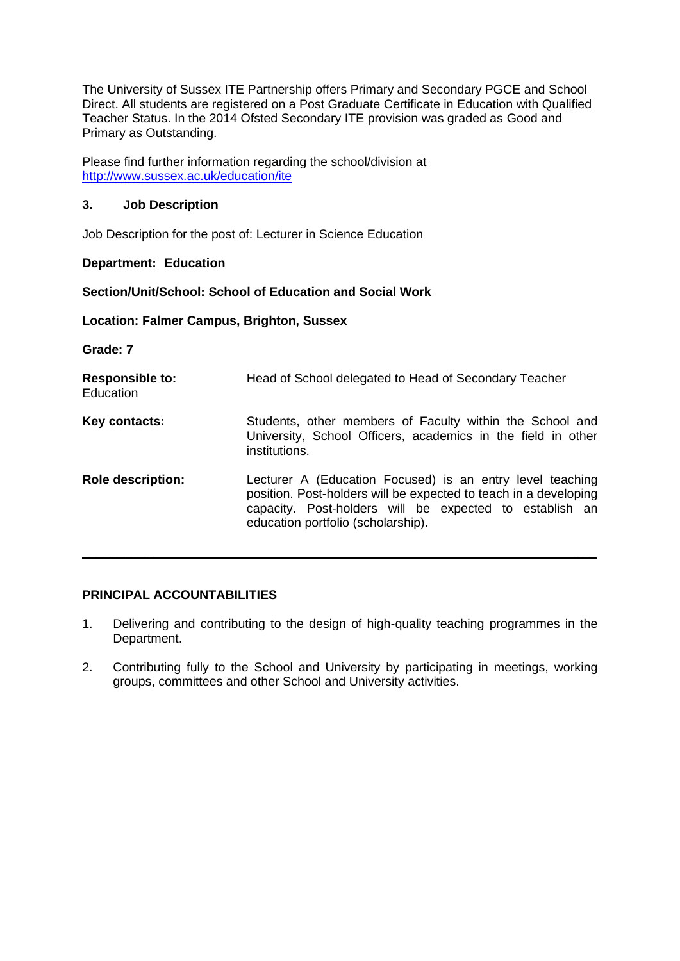The University of Sussex ITE Partnership offers Primary and Secondary PGCE and School Direct. All students are registered on a Post Graduate Certificate in Education with Qualified Teacher Status. In the 2014 Ofsted Secondary ITE provision was graded as Good and Primary as Outstanding.

Please find further information regarding the school/division at <http://www.sussex.ac.uk/education/ite>

### **3. Job Description**

Job Description for the post of: Lecturer in Science Education

#### **Department: Education**

#### **Section/Unit/School: School of Education and Social Work**

**Location: Falmer Campus, Brighton, Sussex**

**Grade: 7**

| <b>Responsible to:</b><br>Education | Head of School delegated to Head of Secondary Teacher                                                                                                                                                                          |
|-------------------------------------|--------------------------------------------------------------------------------------------------------------------------------------------------------------------------------------------------------------------------------|
| Key contacts:                       | Students, other members of Faculty within the School and<br>University, School Officers, academics in the field in other<br>institutions.                                                                                      |
| <b>Role description:</b>            | Lecturer A (Education Focused) is an entry level teaching<br>position. Post-holders will be expected to teach in a developing<br>capacity. Post-holders will be expected to establish an<br>education portfolio (scholarship). |

# **PRINCIPAL ACCOUNTABILITIES**

1. Delivering and contributing to the design of high-quality teaching programmes in the Department.

 $\frac{1}{2}$  , and the set of the set of the set of the set of the set of the set of the set of the set of the set of the set of the set of the set of the set of the set of the set of the set of the set of the set of the set

2. Contributing fully to the School and University by participating in meetings, working groups, committees and other School and University activities.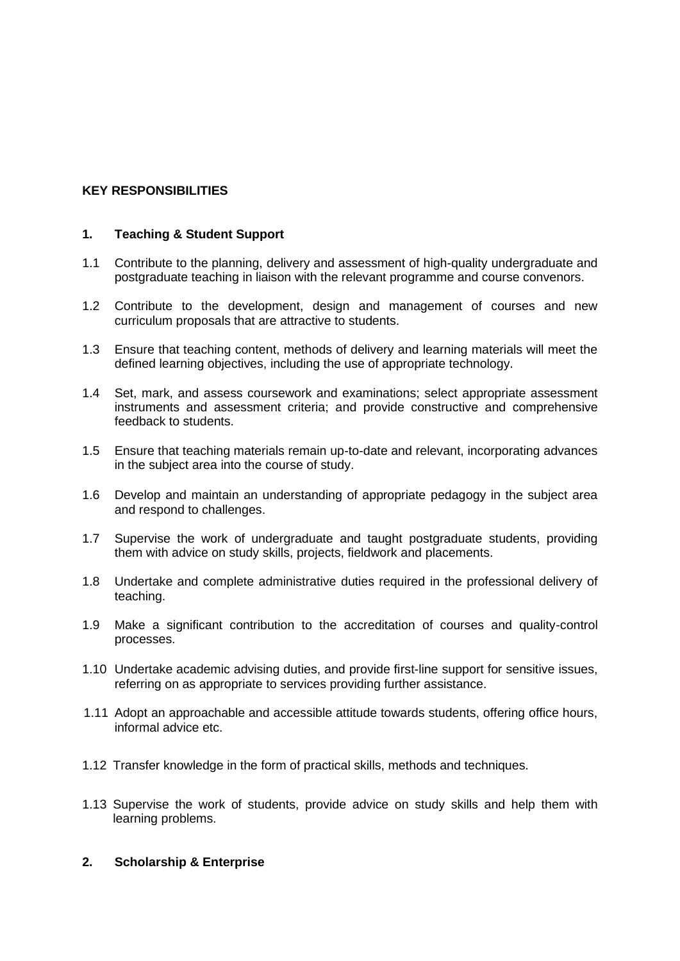# **KEY RESPONSIBILITIES**

### **1. Teaching & Student Support**

- 1.1 Contribute to the planning, delivery and assessment of high-quality undergraduate and postgraduate teaching in liaison with the relevant programme and course convenors.
- 1.2 Contribute to the development, design and management of courses and new curriculum proposals that are attractive to students.
- 1.3 Ensure that teaching content, methods of delivery and learning materials will meet the defined learning objectives, including the use of appropriate technology.
- 1.4 Set, mark, and assess coursework and examinations; select appropriate assessment instruments and assessment criteria; and provide constructive and comprehensive feedback to students.
- 1.5 Ensure that teaching materials remain up-to-date and relevant, incorporating advances in the subject area into the course of study.
- 1.6 Develop and maintain an understanding of appropriate pedagogy in the subject area and respond to challenges.
- 1.7 Supervise the work of undergraduate and taught postgraduate students, providing them with advice on study skills, projects, fieldwork and placements.
- 1.8 Undertake and complete administrative duties required in the professional delivery of teaching.
- 1.9 Make a significant contribution to the accreditation of courses and quality-control processes.
- 1.10 Undertake academic advising duties, and provide first-line support for sensitive issues, referring on as appropriate to services providing further assistance.
- 1.11 Adopt an approachable and accessible attitude towards students, offering office hours, informal advice etc.
- 1.12 Transfer knowledge in the form of practical skills, methods and techniques.
- 1.13 Supervise the work of students, provide advice on study skills and help them with learning problems.

#### **2. Scholarship & Enterprise**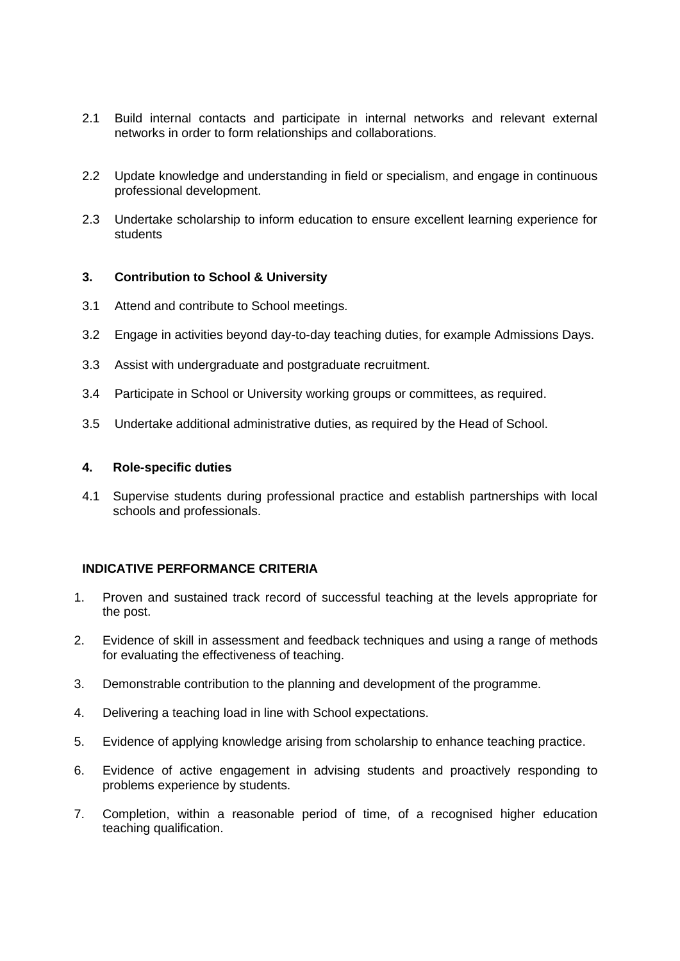- 2.1 Build internal contacts and participate in internal networks and relevant external networks in order to form relationships and collaborations.
- 2.2 Update knowledge and understanding in field or specialism, and engage in continuous professional development.
- 2.3 Undertake scholarship to inform education to ensure excellent learning experience for students

#### **3. Contribution to School & University**

- 3.1 Attend and contribute to School meetings.
- 3.2 Engage in activities beyond day-to-day teaching duties, for example Admissions Days.
- 3.3 Assist with undergraduate and postgraduate recruitment.
- 3.4 Participate in School or University working groups or committees, as required.
- 3.5 Undertake additional administrative duties, as required by the Head of School.

#### **4. Role-specific duties**

4.1 Supervise students during professional practice and establish partnerships with local schools and professionals.

# **INDICATIVE PERFORMANCE CRITERIA**

- 1. Proven and sustained track record of successful teaching at the levels appropriate for the post.
- 2. Evidence of skill in assessment and feedback techniques and using a range of methods for evaluating the effectiveness of teaching.
- 3. Demonstrable contribution to the planning and development of the programme.
- 4. Delivering a teaching load in line with School expectations.
- 5. Evidence of applying knowledge arising from scholarship to enhance teaching practice.
- 6. Evidence of active engagement in advising students and proactively responding to problems experience by students.
- 7. Completion, within a reasonable period of time, of a recognised higher education teaching qualification.